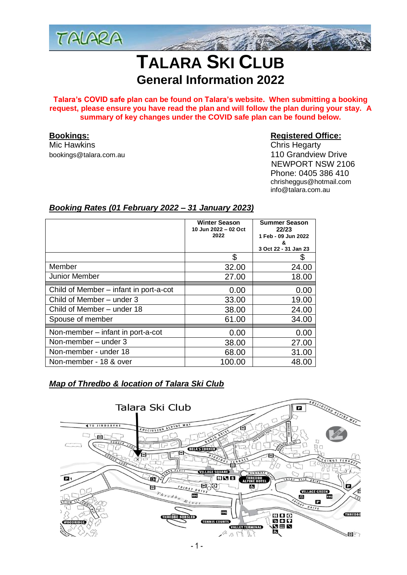

# **TALARA SKI CLUB General Information 2022**

**Talara's COVID safe plan can be found on Talara's website. When submitting a booking request, please ensure you have read the plan and will follow the plan during your stay. A summary of key changes under the COVID safe plan can be found below.**

[bookings@talara.com.au](mailto:bookings@talara.com.au)

# **Bookings: Registered Office:**

Mic Hawkins Chris Hegarty NEWPORT NSW 2106 Phone: 0405 386 410 chrisheggus@hotmail.com info@talara.com.au

# *Booking Rates (01 February 2022 – 31 January 2023)*

|                                        | <b>Winter Season</b><br>10 Jun 2022 - 02 Oct<br>2022 | <b>Summer Season</b><br>22/23<br>1 Feb - 09 Jun 2022<br>& |
|----------------------------------------|------------------------------------------------------|-----------------------------------------------------------|
|                                        |                                                      | 3 Oct 22 - 31 Jan 23                                      |
|                                        | \$                                                   |                                                           |
| Member                                 | 32.00                                                | 24.00                                                     |
| <b>Junior Member</b>                   | 27.00                                                | 18.00                                                     |
| Child of Member – infant in port-a-cot | 0.00                                                 | 0.00                                                      |
| Child of Member - under 3              | 33.00                                                | 19.00                                                     |
| Child of Member - under 18             | 38.00                                                | 24.00                                                     |
| Spouse of member                       | 61.00                                                | 34.00                                                     |
| Non-member – infant in port-a-cot      | 0.00                                                 | 0.00                                                      |
| Non-member - under 3                   | 38.00                                                | 27.00                                                     |
| Non-member - under 18                  | 68.00                                                | 31.00                                                     |
| Non-member - 18 & over                 | 100.00                                               | 48.00                                                     |

# *Map of Thredbo & location of Talara Ski Club*

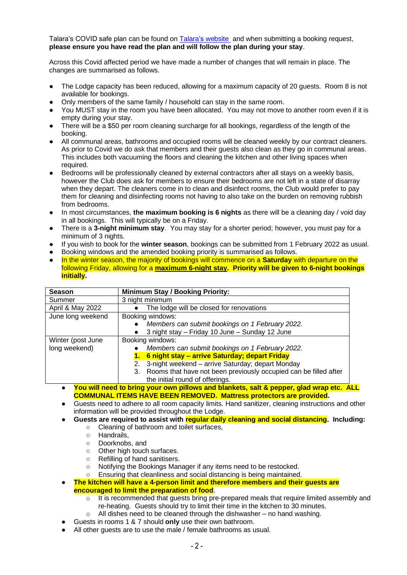Talara's COVID safe plan can be found on Talara's [website](https://talara.com.au/?page_id=2265) and when submitting a booking request, **please ensure you have read the plan and will follow the plan during your stay**.

Across this Covid affected period we have made a number of changes that will remain in place. The changes are summarised as follows.

- The Lodge capacity has been reduced, allowing for a maximum capacity of 20 quests. Room 8 is not available for bookings.
- Only members of the same family / household can stay in the same room.
- You MUST stay in the room you have been allocated. You may not move to another room even if it is empty during your stay.
- There will be a \$50 per room cleaning surcharge for all bookings, regardless of the length of the booking.
- All communal areas, bathrooms and occupied rooms will be cleaned weekly by our contract cleaners. As prior to Covid we do ask that members and their guests also clean as they go in communal areas. This includes both vacuuming the floors and cleaning the kitchen and other living spaces when required.
- Bedrooms will be professionally cleaned by external contractors after all stays on a weekly basis, however the Club does ask for members to ensure their bedrooms are not left in a state of disarray when they depart. The cleaners come in to clean and disinfect rooms, the Club would prefer to pay them for cleaning and disinfecting rooms not having to also take on the burden on removing rubbish from bedrooms.
- In most circumstances, **the maximum booking is 6 nights** as there will be a cleaning day / void day in all bookings. This will typically be on a Friday.
- There is a **3-night minimum stay**. You may stay for a shorter period; however, you must pay for a minimum of 3 nights.
- If you wish to book for the **winter season**, bookings can be submitted from 1 February 2022 as usual.
- Booking windows and the amended booking priority is summarised as follows.
- In the winter season, the majority of bookings will commence on a **Saturday** with departure on the following Friday, allowing for a **maximum 6-night stay. Priority will be given to 6-night bookings initially.**

| <b>Season</b>     | <b>Minimum Stay / Booking Priority:</b>                                |  |
|-------------------|------------------------------------------------------------------------|--|
| Summer            | 3 night minimum                                                        |  |
| April & May 2022  | The lodge will be closed for renovations                               |  |
| June long weekend | Booking windows:                                                       |  |
|                   | Members can submit bookings on 1 February 2022.                        |  |
|                   | 3 night stay - Friday 10 June - Sunday 12 June                         |  |
| Winter (post June | Booking windows:                                                       |  |
| long weekend)     | Members can submit bookings on 1 February 2022.                        |  |
|                   | 6 night stay - arrive Saturday; depart Friday<br>1.                    |  |
|                   | 3-night weekend - arrive Saturday; depart Monday<br>2.                 |  |
|                   | Rooms that have not been previously occupied can be filled after<br>3. |  |
|                   | the initial round of offerings.                                        |  |

- **You will need to bring your own pillows and blankets, salt & pepper, glad wrap etc. ALL COMMUNAL ITEMS HAVE BEEN REMOVED. Mattress protectors are provided.**
- Guests need to adhere to all room capacity limits. Hand sanitizer, cleaning instructions and other information will be provided throughout the Lodge.
- Guests are required to assist with reqular daily cleaning and social distancing. Including:
	- Cleaning of bathroom and toilet surfaces,
		- Handrails,
		- Doorknobs, and
		- Other high touch surfaces.
		- Refilling of hand sanitisers.
		- Notifying the Bookings Manager if any items need to be restocked.
		- Ensuring that cleanliness and social distancing is being maintained.
- **The kitchen will have a 4-person limit and therefore members and their quests are encouraged to limit the preparation of food**.
	- $\circ$  It is recommended that guests bring pre-prepared meals that require limited assembly and re-heating. Guests should try to limit their time in the kitchen to 30 minutes.
	- $\circ$  All dishes need to be cleaned through the dishwasher no hand washing.
- Guests in rooms 1 & 7 should **only** use their own bathroom.
- All other quests are to use the male / female bathrooms as usual.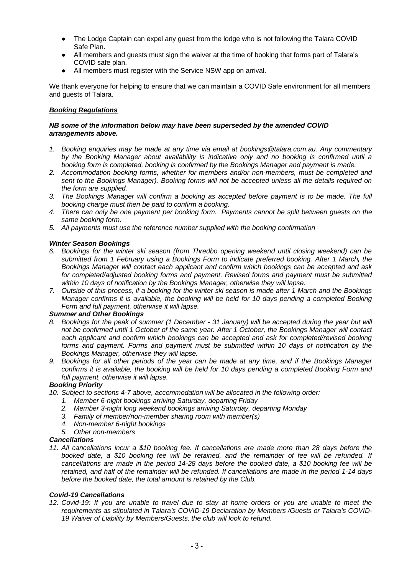- The Lodge Captain can expel any guest from the lodge who is not following the Talara COVID Safe Plan.
- All members and guests must sign the waiver at the time of booking that forms part of Talara's COVID safe plan.
- All members must register with the Service NSW app on arrival.

We thank everyone for helping to ensure that we can maintain a COVID Safe environment for all members and guests of Talara.

### *Booking Regulations*

#### *NB some of the information below may have been superseded by the amended COVID arrangements above.*

- *1. Booking enquiries may be made at any time via email at bookings@talara.com.au. Any commentary by the Booking Manager about availability is indicative only and no booking is confirmed until a booking form is completed, booking is confirmed by the Bookings Manager and payment is made.*
- *2. Accommodation booking forms, whether for members and/or non-members, must be completed and sent to the Bookings Manager). Booking forms will not be accepted unless all the details required on the form are supplied.*
- *3. The Bookings Manager will confirm a booking as accepted before payment is to be made. The full booking charge must then be paid to confirm a booking.*
- *4. There can only be one payment per booking form. Payments cannot be split between guests on the same booking form.*
- *5. All payments must use the reference number supplied with the booking confirmation*

#### *Winter Season Bookings*

- *6. Bookings for the winter ski season (from Thredbo opening weekend until closing weekend) can be submitted from 1 February using a Bookings Form to indicate preferred booking. After 1 March, the Bookings Manager will contact each applicant and confirm which bookings can be accepted and ask for completed/adjusted booking forms and payment. Revised forms and payment must be submitted within 10 days of notification by the Bookings Manager, otherwise they will lapse.*
- *7. Outside of this process, if a booking for the winter ski season is made after 1 March and the Bookings Manager confirms it is available, the booking will be held for 10 days pending a completed Booking Form and full payment, otherwise it will lapse.*

#### *Summer and Other Bookings*

- *8. Bookings for the peak of summer (1 December - 31 January) will be accepted during the year but will not be confirmed until 1 October of the same year. After 1 October, the Bookings Manager will contact each applicant and confirm which bookings can be accepted and ask for completed/revised booking forms and payment. Forms and payment must be submitted within 10 days of notification by the Bookings Manager, otherwise they will lapse.*
- *9. Bookings for all other periods of the year can be made at any time, and if the Bookings Manager confirms it is available, the booking will be held for 10 days pending a completed Booking Form and full payment, otherwise it will lapse.*

#### *Booking Priority*

- *10. Subject to sections 4-7 above, accommodation will be allocated in the following order:*
	- *1. Member 6-night bookings arriving Saturday, departing Friday*
	- *2. Member 3-night long weekend bookings arriving Saturday, departing Monday*
	- *3. Family of member/non-member sharing room with member(s)*
	- *4. Non-member 6-night bookings*
	- *5. Other non-members*

# *Cancellations*

*11. All cancellations incur a \$10 booking fee. If cancellations are made more than 28 days before the booked date, a \$10 booking fee will be retained, and the remainder of fee will be refunded. If cancellations are made in the period 14-28 days before the booked date, a \$10 booking fee will be retained, and half of the remainder will be refunded. If cancellations are made in the period 1-14 days before the booked date, the total amount is retained by the Club.*

#### *Covid-19 Cancellations*

*12. Covid-19: If you are unable to travel due to stay at home orders or you are unable to meet the requirements as stipulated in Talara's COVID-19 Declaration by Members /Guests or Talara's COVID-19 Waiver of Liability by Members/Guests, the club will look to refund.*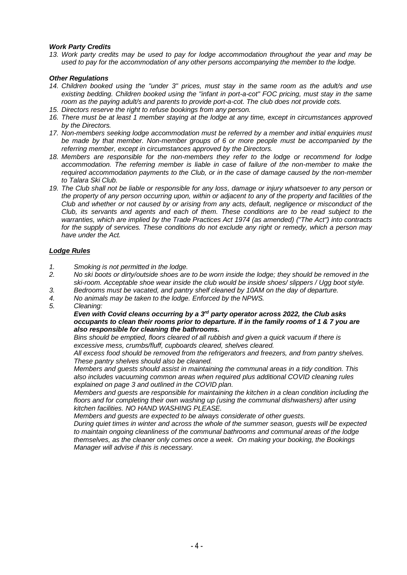#### *Work Party Credits*

*13. Work party credits may be used to pay for lodge accommodation throughout the year and may be used to pay for the accommodation of any other persons accompanying the member to the lodge.* 

#### *Other Regulations*

- *14. Children booked using the "under 3" prices, must stay in the same room as the adult/s and use existing bedding. Children booked using the "infant in port-a-cot" FOC pricing, must stay in the same room as the paying adult/s and parents to provide port-a-cot. The club does not provide cots.*
- *15. Directors reserve the right to refuse bookings from any person.*
- *16. There must be at least 1 member staying at the lodge at any time, except in circumstances approved by the Directors.*
- *17. Non-members seeking lodge accommodation must be referred by a member and initial enquiries must be made by that member. Non-member groups of 6 or more people must be accompanied by the referring member, except in circumstances approved by the Directors.*
- *18. Members are responsible for the non-members they refer to the lodge or recommend for lodge accommodation. The referring member is liable in case of failure of the non-member to make the required accommodation payments to the Club, or in the case of damage caused by the non-member to Talara Ski Club.*
- *19. The Club shall not be liable or responsible for any loss, damage or injury whatsoever to any person or the property of any person occurring upon, within or adjacent to any of the property and facilities of the Club and whether or not caused by or arising from any acts, default, negligence or misconduct of the Club, its servants and agents and each of them. These conditions are to be read subject to the warranties, which are implied by the Trade Practices Act 1974 (as amended) ("The Act") into contracts for the supply of services. These conditions do not exclude any right or remedy, which a person may have under the Act.*

#### *Lodge Rules*

- *1. Smoking is not permitted in the lodge.*
- *2. No ski boots or dirty/outside shoes are to be worn inside the lodge; they should be removed in the ski-room. Acceptable shoe wear inside the club would be inside shoes/ slippers / Ugg boot style.*
- *3. Bedrooms must be vacated, and pantry shelf cleaned by 10AM on the day of departure.*
- *4. No animals may be taken to the lodge. Enforced by the NPWS.*
- *5. Cleaning:*

*Even with Covid cleans occurring by a 3rd party operator across 2022, the Club asks occupants to clean their rooms prior to departure. If in the family rooms of 1 & 7 you are also responsible for cleaning the bathrooms.*

*Bins should be emptied, floors cleared of all rubbish and given a quick vacuum if there is excessive mess, crumbs/fluff, cupboards cleared, shelves cleared.*

*All excess food should be removed from the refrigerators and freezers, and from pantry shelves. These pantry shelves should also be cleaned.*

*Members and guests should assist in maintaining the communal areas in a tidy condition. This also includes vacuuming common areas when required plus additional COVID cleaning rules explained on page 3 and outlined in the COVID plan.*

*Members and guests are responsible for maintaining the kitchen in a clean condition including the floors and for completing their own washing up (using the communal dishwashers) after using kitchen facilities. NO HAND WASHING PLEASE.*

*Members and guests are expected to be always considerate of other guests.*

*During quiet times in winter and across the whole of the summer season, guests will be expected to maintain ongoing cleanliness of the communal bathrooms and communal areas of the lodge themselves, as the cleaner only comes once a week. On making your booking, the Bookings Manager will advise if this is necessary.*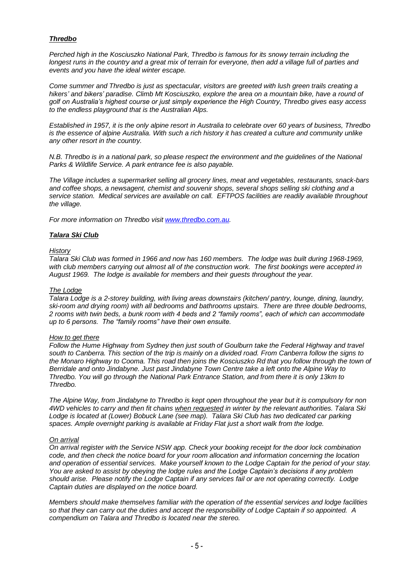### *Thredbo*

*Perched high in the Kosciuszko National Park, Thredbo is famous for its snowy terrain including the longest runs in the country and a great mix of terrain for everyone, then add a village full of parties and events and you have the ideal winter escape.*

*Come summer and Thredbo is just as spectacular, visitors are greeted with lush green trails creating a hikers' and bikers' paradise. Climb Mt Kosciuszko, explore the area on a mountain bike, have a round of golf on Australia's highest course or just simply experience the High Country, Thredbo gives easy access to the endless playground that is the Australian Alps.*

*Established in 1957, it is the only alpine resort in Australia to celebrate over 60 years of business, Thredbo is the essence of alpine Australia. With such a rich history it has created a culture and community unlike any other resort in the country.*

*N.B. Thredbo is in a national park, so please respect the environment and the quidelines of the National Parks & Wildlife Service. A park entrance fee is also payable.*

*The Village includes a supermarket selling all grocery lines, meat and vegetables, restaurants, snack-bars and coffee shops, a newsagent, chemist and souvenir shops, several shops selling ski clothing and a service station. Medical services are available on call. EFTPOS facilities are readily available throughout the village.*

*For more information on Thredbo visit [www.thredbo.com.au.](http://www.thredbo.com.au/)*

#### *Talara Ski Club*

#### *History*

*Talara Ski Club was formed in 1966 and now has 160 members. The lodge was built during 1968-1969, with club members carrying out almost all of the construction work. The first bookings were accepted in August 1969. The lodge is available for members and their guests throughout the year.*

#### *The Lodge*

*Talara Lodge is a 2-storey building, with living areas downstairs (kitchen/ pantry, lounge, dining, laundry, ski-room and drying room) with all bedrooms and bathrooms upstairs. There are three double bedrooms, 2 rooms with twin beds, a bunk room with 4 beds and 2 "family rooms", each of which can accommodate up to 6 persons. The "family rooms" have their own ensuite.*

#### *How to get there*

*Follow the Hume Highway from Sydney then just south of Goulburn take the Federal Highway and travel south to Canberra. This section of the trip is mainly on a divided road. From Canberra follow the signs to the Monaro Highway to Cooma. This road then joins the Kosciuszko Rd that you follow through the town of Berridale and onto Jindabyne. Just past Jindabyne Town Centre take a left onto the Alpine Way to Thredbo. You will go through the National Park Entrance Station, and from there it is only 13km to Thredbo.*

*The Alpine Way, from Jindabyne to Thredbo is kept open throughout the year but it is compulsory for non 4WD vehicles to carry and then fit chains when requested in winter by the relevant authorities. Talara Ski Lodge is located at (Lower) Bobuck Lane (see map). Talara Ski Club has two dedicated car parking spaces. Ample overnight parking is available at Friday Flat just a short walk from the lodge.*

#### *On arrival*

*On arrival register with the Service NSW app. Check your booking receipt for the door lock combination code, and then check the notice board for your room allocation and information concerning the location and operation of essential services. Make yourself known to the Lodge Captain for the period of your stay. You are asked to assist by obeying the lodge rules and the Lodge Captain's decisions if any problem should arise. Please notify the Lodge Captain if any services fail or are not operating correctly. Lodge Captain duties are displayed on the notice board.*

*Members should make themselves familiar with the operation of the essential services and lodge facilities so that they can carry out the duties and accept the responsibility of Lodge Captain if so appointed. A compendium on Talara and Thredbo is located near the stereo.*